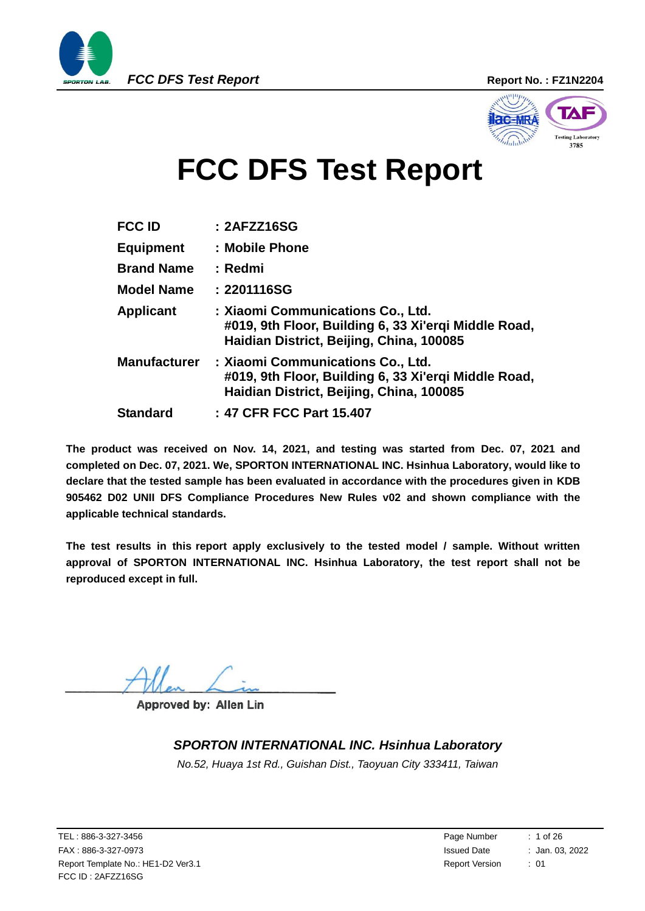

<span id="page-0-0"></span>

# **FCC DFS Test Report**

| <b>FCC ID</b>       | : 2AFZZ16SG                                                                                                                           |
|---------------------|---------------------------------------------------------------------------------------------------------------------------------------|
| <b>Equipment</b>    | : Mobile Phone                                                                                                                        |
| <b>Brand Name</b>   | : Redmi                                                                                                                               |
| <b>Model Name</b>   | : 2201116SG                                                                                                                           |
| <b>Applicant</b>    | : Xiaomi Communications Co., Ltd.<br>#019, 9th Floor, Building 6, 33 Xi'ergi Middle Road,<br>Haidian District, Beijing, China, 100085 |
| <b>Manufacturer</b> | : Xiaomi Communications Co., Ltd.<br>#019, 9th Floor, Building 6, 33 Xi'ergi Middle Road,<br>Haidian District, Beijing, China, 100085 |
| <b>Standard</b>     | : 47 CFR FCC Part 15.407                                                                                                              |

**The product was received on Nov. 14, 2021, and testing was started from Dec. 07, 2021 and completed on Dec. 07, 2021. We, SPORTON INTERNATIONAL INC. Hsinhua Laboratory, would like to declare that the tested sample has been evaluated in accordance with the procedures given in KDB 905462 D02 UNII DFS Compliance Procedures New Rules v02 and shown compliance with the applicable technical standards.**

**The test results in this report apply exclusively to the tested model / sample. Without written approval of SPORTON INTERNATIONAL INC. Hsinhua Laboratory, the test report shall not be reproduced except in full.**

 $\bigwedge$  Men  $\longleftarrow$  m

**Approved by: Allen Lin**

#### *SPORTON INTERNATIONAL INC. Hsinhua Laboratory*

*No.52, Huaya 1st Rd., Guishan Dist., Taoyuan City 333411, Taiwan*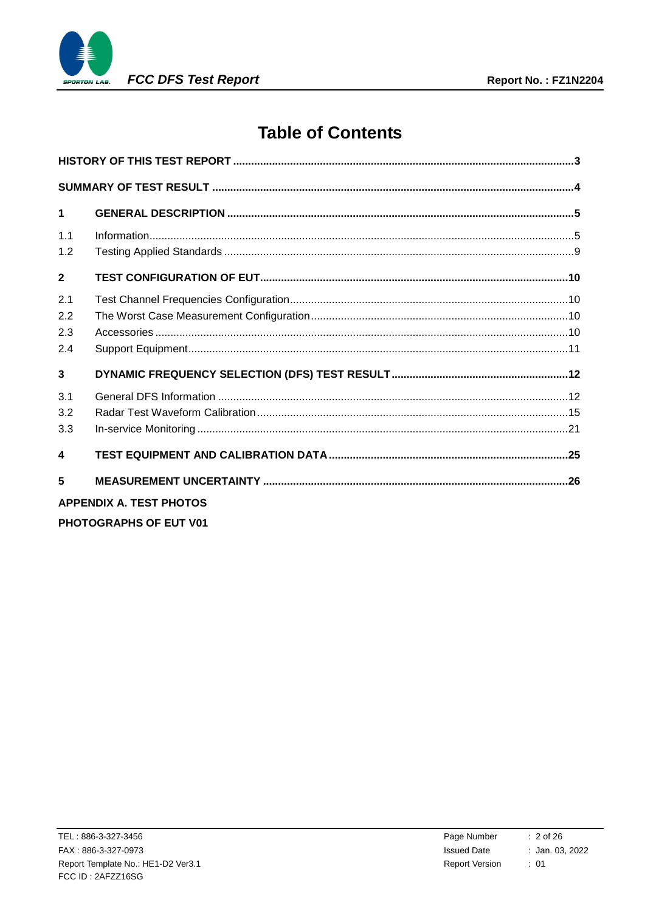

# **Table of Contents**

| $\mathbf 1$              |                                |  |
|--------------------------|--------------------------------|--|
| 1 <sub>1</sub><br>1.2    |                                |  |
| $\overline{2}$           |                                |  |
| 2.1<br>2.2<br>2.3<br>2.4 |                                |  |
| $\mathbf{3}$             |                                |  |
| 3.1<br>3.2<br>3.3        |                                |  |
| $\blacktriangle$         |                                |  |
| 5                        |                                |  |
|                          | <b>APPENDIX A. TEST PHOTOS</b> |  |
|                          | <b>PHOTOGRAPHS OF EUT V01</b>  |  |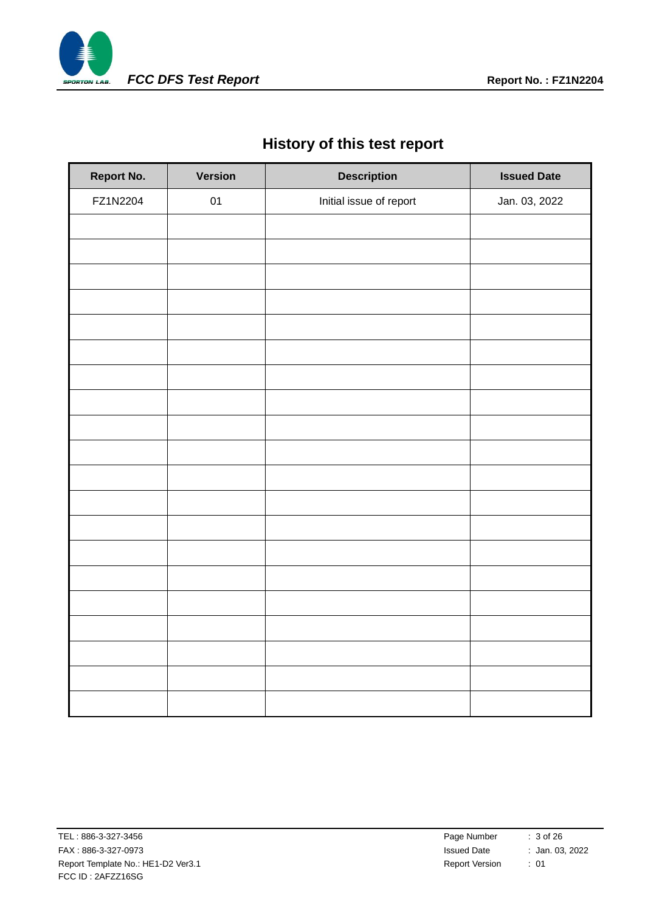

# **History of this test report**

<span id="page-2-0"></span>

| <b>Report No.</b> | <b>Version</b> | <b>Description</b>      | <b>Issued Date</b> |
|-------------------|----------------|-------------------------|--------------------|
| FZ1N2204          | 01             | Initial issue of report | Jan. 03, 2022      |
|                   |                |                         |                    |
|                   |                |                         |                    |
|                   |                |                         |                    |
|                   |                |                         |                    |
|                   |                |                         |                    |
|                   |                |                         |                    |
|                   |                |                         |                    |
|                   |                |                         |                    |
|                   |                |                         |                    |
|                   |                |                         |                    |
|                   |                |                         |                    |
|                   |                |                         |                    |
|                   |                |                         |                    |
|                   |                |                         |                    |
|                   |                |                         |                    |
|                   |                |                         |                    |
|                   |                |                         |                    |
|                   |                |                         |                    |
|                   |                |                         |                    |
|                   |                |                         |                    |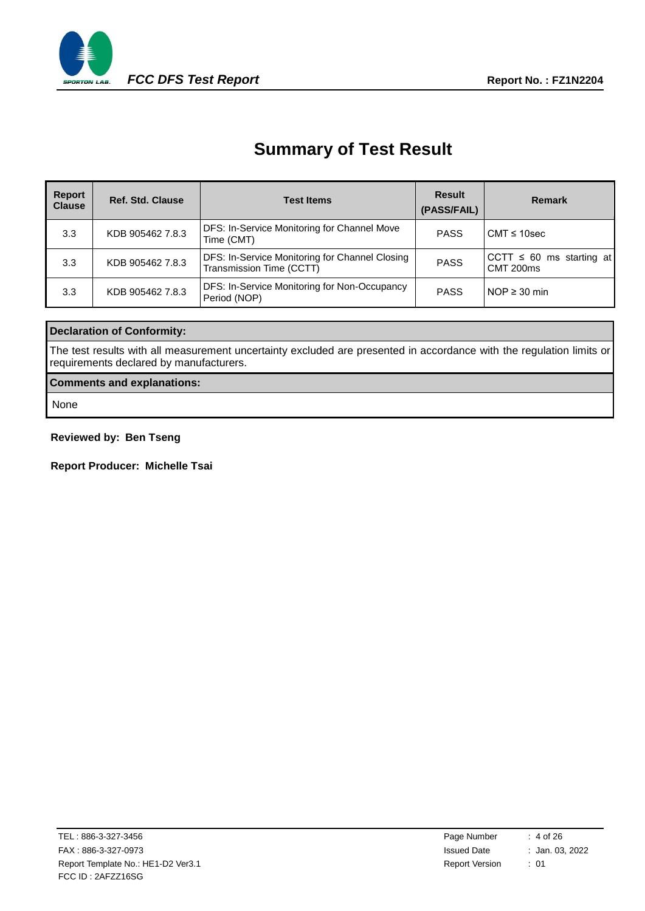

# **Summary of Test Result**

<span id="page-3-0"></span>

| Report<br><b>Clause</b> | <b>Ref. Std. Clause</b> | <b>Test Items</b>                                                          | Result<br>(PASS/FAIL) | <b>Remark</b>                              |
|-------------------------|-------------------------|----------------------------------------------------------------------------|-----------------------|--------------------------------------------|
| 3.3                     | KDB 905462 7.8.3        | <b>DFS: In-Service Monitoring for Channel Move</b><br>Time (CMT)           | <b>PASS</b>           | $CMT \leq 10$ sec                          |
| 3.3                     | KDB 905462 7.8.3        | DFS: In-Service Monitoring for Channel Closing<br>Transmission Time (CCTT) | <b>PASS</b>           | CCTT $\leq 60$ ms starting at<br>CMT 200ms |
| 3.3                     | KDB 905462 7.8.3        | <b>DFS: In-Service Monitoring for Non-Occupancy</b><br>Period (NOP)        | <b>PASS</b>           | $NOP \geq 30$ min                          |

#### **Declaration of Conformity:**

The test results with all measurement uncertainty excluded are presented in accordance with the regulation limits or requirements declared by manufacturers.

#### **Comments and explanations:**

None

#### **Reviewed by: Ben Tseng**

**Report Producer: Michelle Tsai**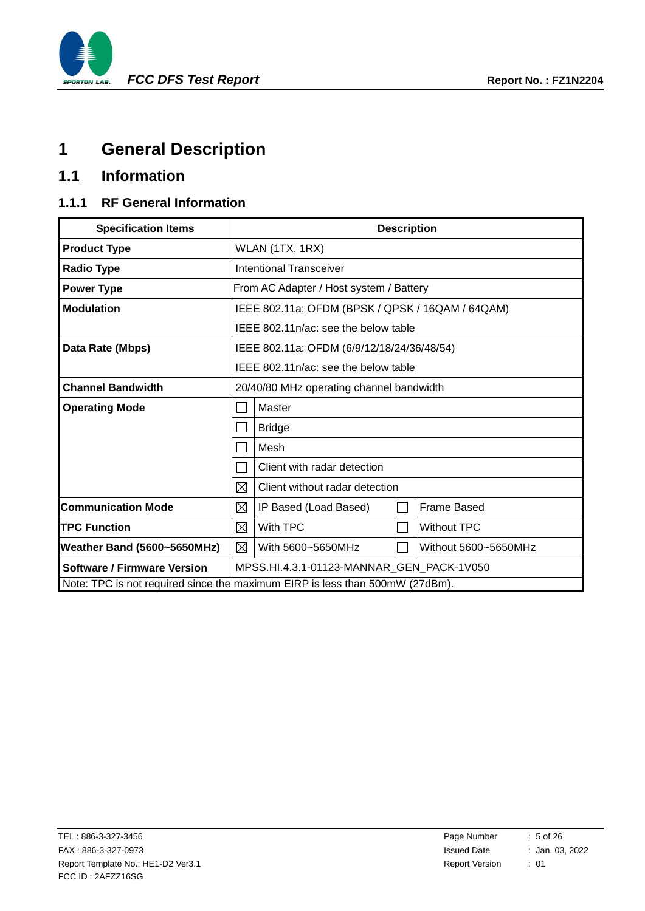

# <span id="page-4-0"></span>**1 General Description**

# <span id="page-4-1"></span>**1.1 Information**

### **1.1.1 RF General Information**

| <b>Specification Items</b>                                                   |                                                |                                                  | <b>Description</b> |                    |  |
|------------------------------------------------------------------------------|------------------------------------------------|--------------------------------------------------|--------------------|--------------------|--|
| <b>Product Type</b>                                                          |                                                | WLAN (1TX, 1RX)                                  |                    |                    |  |
| <b>Radio Type</b>                                                            |                                                | <b>Intentional Transceiver</b>                   |                    |                    |  |
| <b>Power Type</b>                                                            |                                                | From AC Adapter / Host system / Battery          |                    |                    |  |
| <b>Modulation</b>                                                            |                                                | IEEE 802.11a: OFDM (BPSK / QPSK / 16QAM / 64QAM) |                    |                    |  |
|                                                                              |                                                | IEEE 802.11n/ac: see the below table             |                    |                    |  |
| Data Rate (Mbps)                                                             |                                                | IEEE 802.11a: OFDM (6/9/12/18/24/36/48/54)       |                    |                    |  |
|                                                                              |                                                | IEEE 802.11n/ac: see the below table             |                    |                    |  |
| <b>Channel Bandwidth</b>                                                     | 20/40/80 MHz operating channel bandwidth       |                                                  |                    |                    |  |
| <b>Operating Mode</b>                                                        | Master                                         |                                                  |                    |                    |  |
|                                                                              | <b>Bridge</b><br>$\mathcal{L}_{\mathcal{A}}$   |                                                  |                    |                    |  |
|                                                                              | Mesh<br>$\sim$                                 |                                                  |                    |                    |  |
|                                                                              | Client with radar detection<br>$\sim$          |                                                  |                    |                    |  |
|                                                                              | $\boxtimes$                                    | Client without radar detection                   |                    |                    |  |
| <b>Communication Mode</b>                                                    | $\boxtimes$                                    | IP Based (Load Based)                            |                    | <b>Frame Based</b> |  |
| <b>TPC Function</b>                                                          | $\boxtimes$<br>With TPC<br><b>Without TPC</b>  |                                                  |                    |                    |  |
| Weather Band (5600~5650MHz)                                                  | ⊠<br>With 5600~5650MHz<br>Without 5600~5650MHz |                                                  |                    |                    |  |
| <b>Software / Firmware Version</b>                                           | MPSS.HI.4.3.1-01123-MANNAR GEN PACK-1V050      |                                                  |                    |                    |  |
| Note: TPC is not required since the maximum EIRP is less than 500mW (27dBm). |                                                |                                                  |                    |                    |  |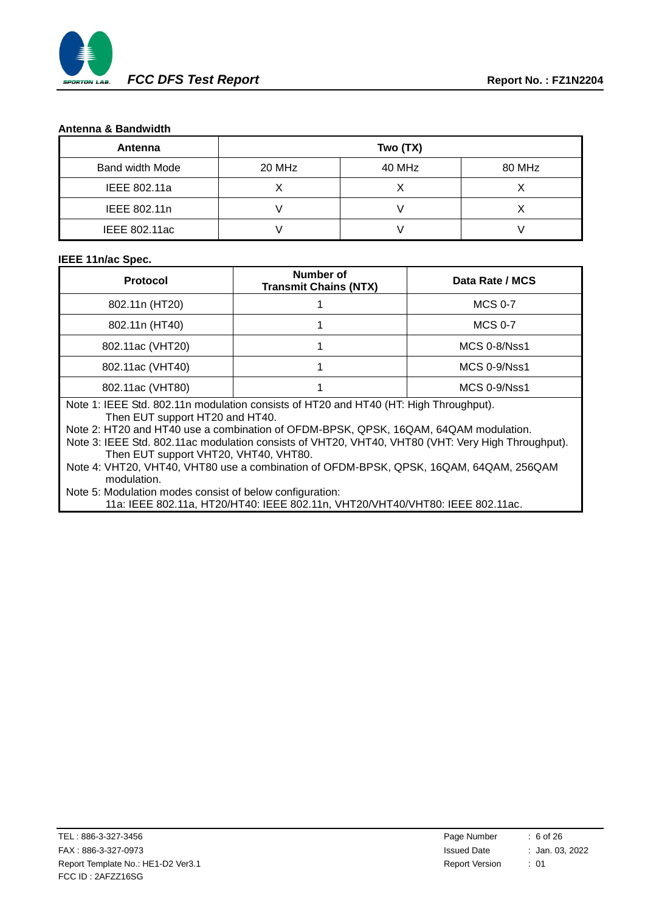

#### **Antenna & Bandwidth**

| Antenna         |        | Two (TX) |        |
|-----------------|--------|----------|--------|
| Band width Mode | 20 MHz | 40 MHz   | 80 MHz |
| IEEE 802.11a    |        |          |        |
| IEEE 802.11n    |        |          |        |
| IEEE 802.11ac   |        |          |        |

#### **IEEE 11n/ac Spec.**

| <b>Protocol</b>                                                                                                          | <b>Number of</b><br><b>Transmit Chains (NTX)</b> | Data Rate / MCS |  |  |
|--------------------------------------------------------------------------------------------------------------------------|--------------------------------------------------|-----------------|--|--|
| 802.11n (HT20)                                                                                                           |                                                  | <b>MCS 0-7</b>  |  |  |
| 802.11n (HT40)                                                                                                           |                                                  | <b>MCS 0-7</b>  |  |  |
| 802.11ac (VHT20)                                                                                                         |                                                  | MCS 0-8/Nss1    |  |  |
| 802.11ac (VHT40)                                                                                                         |                                                  | MCS 0-9/Nss1    |  |  |
| 802.11ac (VHT80)<br>$MCS$ 0-9/Nss1                                                                                       |                                                  |                 |  |  |
| Note 1: IEEE Std. 802.11n modulation consists of HT20 and HT40 (HT: High Throughput).<br>Then EUT support HT20 and HT40. |                                                  |                 |  |  |

Note 2: HT20 and HT40 use a combination of OFDM-BPSK, QPSK, 16QAM, 64QAM modulation.

Note 3: IEEE Std. 802.11ac modulation consists of VHT20, VHT40, VHT80 (VHT: Very High Throughput). Then EUT support VHT20, VHT40, VHT80.

Note 4: VHT20, VHT40, VHT80 use a combination of OFDM-BPSK, QPSK, 16QAM, 64QAM, 256QAM modulation.

Note 5: Modulation modes consist of below configuration:

11a: IEEE 802.11a, HT20/HT40: IEEE 802.11n, VHT20/VHT40/VHT80: IEEE 802.11ac.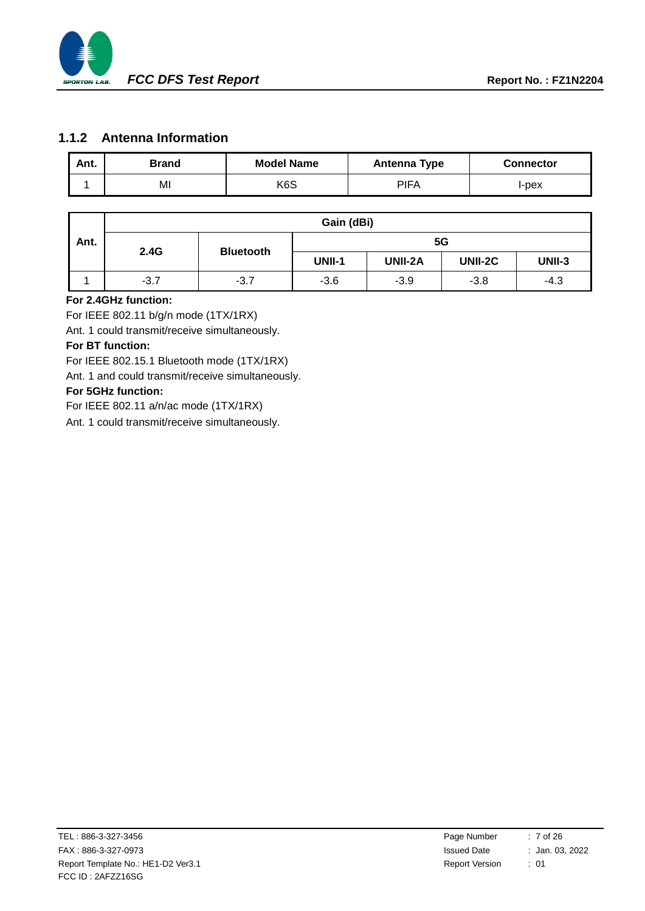

#### **1.1.2 Antenna Information**

| Ant. | <b>Brand</b> | <b>Model Name</b> | <b>Antenna Type</b> | <b>Connector</b> |
|------|--------------|-------------------|---------------------|------------------|
|      | MI           | K <sub>6</sub> S  | <b>PIFA</b>         | l-pex            |

|      | Gain (dBi)       |        |               |         |         |               |
|------|------------------|--------|---------------|---------|---------|---------------|
| Ant. | <b>Bluetooth</b> |        |               | 5G      |         |               |
|      | 2.4G             |        | <b>UNII-1</b> | UNII-2A | UNII-2C | <b>UNII-3</b> |
|      | $-3.7$           | $-3.7$ | $-3.6$        | $-3.9$  | $-3.8$  | $-4.3$        |

#### **For 2.4GHz function:**

For IEEE 802.11 b/g/n mode (1TX/1RX)

Ant. 1 could transmit/receive simultaneously.

#### **For BT function:**

For IEEE 802.15.1 Bluetooth mode (1TX/1RX)

Ant. 1 and could transmit/receive simultaneously.

#### **For 5GHz function:**

For IEEE 802.11 a/n/ac mode (1TX/1RX)

Ant. 1 could transmit/receive simultaneously.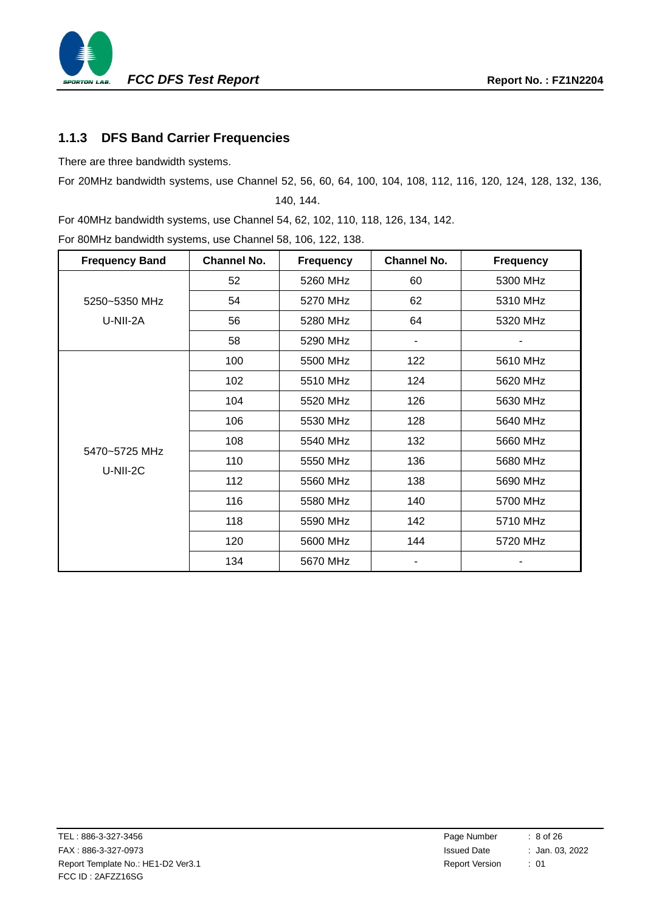

### **1.1.3 DFS Band Carrier Frequencies**

There are three bandwidth systems.

For 20MHz bandwidth systems, use Channel 52, 56, 60, 64, 100, 104, 108, 112, 116, 120, 124, 128, 132, 136,

<span id="page-7-0"></span>140, 144.

For 40MHz bandwidth systems, use Channel 54, 62, 102, 110, 118, 126, 134, 142. For 80MHz bandwidth systems, use Channel 58, 106, 122, 138.

| <b>Frequency Band</b>     | <b>Channel No.</b> | <b>Frequency</b> | <b>Channel No.</b> | <b>Frequency</b> |
|---------------------------|--------------------|------------------|--------------------|------------------|
|                           | 52                 | 5260 MHz         | 60                 | 5300 MHz         |
| 5250~5350 MHz             | 54                 | 5270 MHz         | 62                 | 5310 MHz         |
| U-NII-2A                  | 56                 | 5280 MHz         | 64                 | 5320 MHz         |
|                           | 58                 | 5290 MHz         |                    |                  |
|                           | 100                | 5500 MHz         | 122                | 5610 MHz         |
|                           | 102                | 5510 MHz         | 124                | 5620 MHz         |
|                           | 104                | 5520 MHz         | 126                | 5630 MHz         |
|                           | 106                | 5530 MHz         | 128                | 5640 MHz         |
|                           | 108                | 5540 MHz         | 132                | 5660 MHz         |
| 5470~5725 MHz<br>U-NII-2C | 110                | 5550 MHz         | 136                | 5680 MHz         |
|                           | 112                | 5560 MHz         | 138                | 5690 MHz         |
|                           | 116                | 5580 MHz         | 140                | 5700 MHz         |
|                           | 118                | 5590 MHz         | 142                | 5710 MHz         |
|                           | 120                | 5600 MHz         | 144                | 5720 MHz         |
|                           | 134                | 5670 MHz         |                    |                  |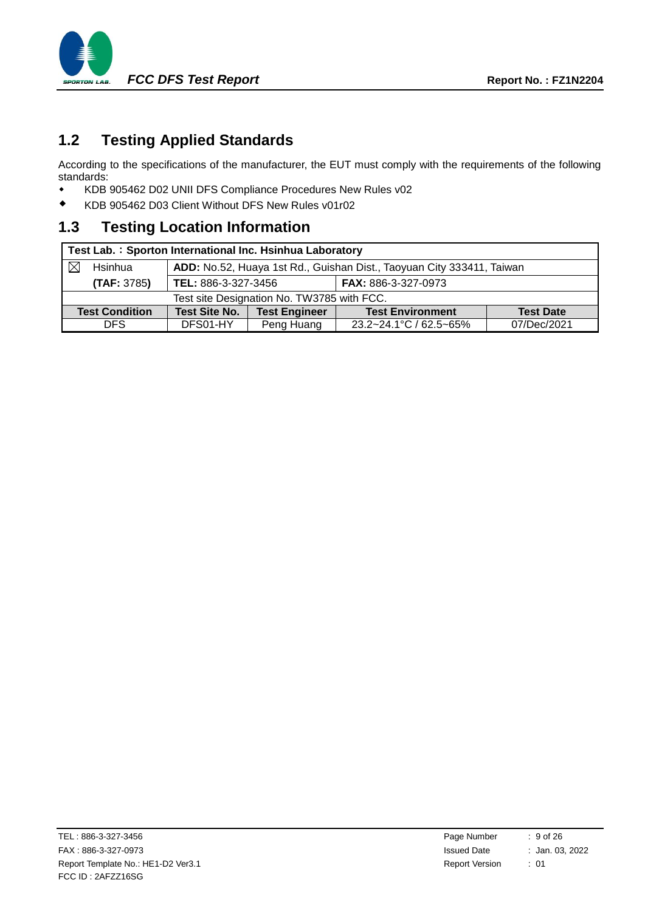

# <span id="page-8-0"></span>**1.2 Testing Applied Standards**

According to the specifications of the manufacturer, the EUT must comply with the requirements of the following standards:

- [KDB 905462 D02 UNII DFS Compliance Procedures New Rules v02](#page-0-0)
- KDB 905462 D03 Client Without DFS New Rules v01r02

# **1.3 Testing Location Information**

|                                               | Test Lab.: Sporton International Inc. Hsinhua Laboratory |                     |                                                                       |                            |                  |  |  |
|-----------------------------------------------|----------------------------------------------------------|---------------------|-----------------------------------------------------------------------|----------------------------|------------------|--|--|
|                                               | Hsinhua                                                  |                     | ADD: No.52, Huaya 1st Rd., Guishan Dist., Taoyuan City 333411, Taiwan |                            |                  |  |  |
|                                               | (TAF: 3785)                                              | TEL: 886-3-327-3456 |                                                                       | <b>FAX: 886-3-327-0973</b> |                  |  |  |
|                                               | Test site Designation No. TW3785 with FCC.               |                     |                                                                       |                            |                  |  |  |
| <b>Test Site No.</b><br><b>Test Condition</b> |                                                          |                     | <b>Test Engineer</b>                                                  | <b>Test Environment</b>    | <b>Test Date</b> |  |  |
|                                               | DFS.                                                     | DFS01-HY            | Peng Huang                                                            | 23.2~24.1°C / 62.5~65%     | 07/Dec/2021      |  |  |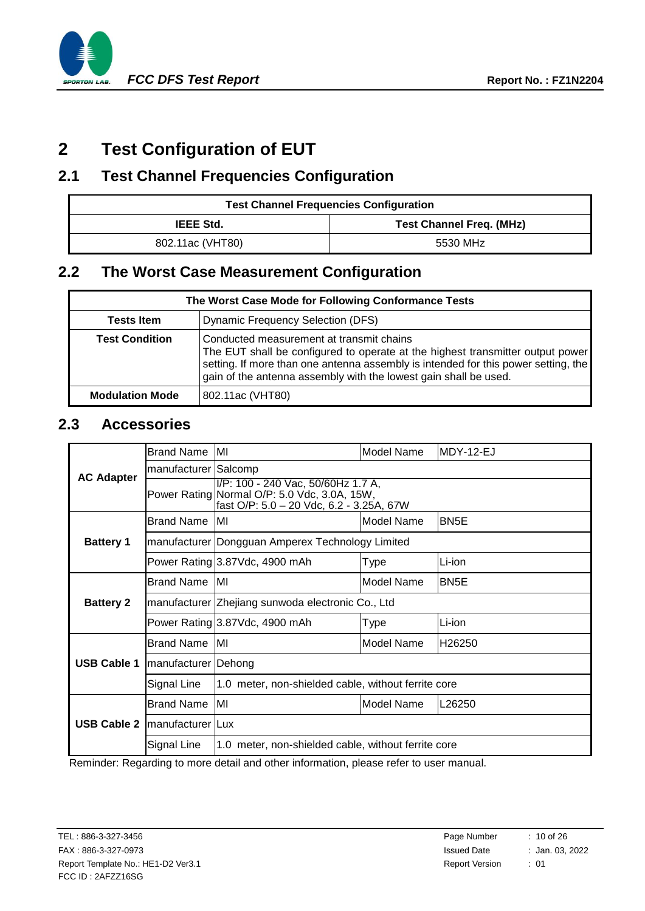

# <span id="page-9-0"></span>**2 Test Configuration of EUT**

## <span id="page-9-1"></span>**2.1 Test Channel Frequencies Configuration**

| <b>Test Channel Frequencies Configuration</b> |                                 |  |  |
|-----------------------------------------------|---------------------------------|--|--|
| <b>IEEE Std.</b>                              | <b>Test Channel Freq. (MHz)</b> |  |  |
| 802.11ac (VHT80)                              | 5530 MHz                        |  |  |

# <span id="page-9-4"></span><span id="page-9-2"></span>**2.2 The Worst Case Measurement Configuration**

| The Worst Case Mode for Following Conformance Tests |                                                                                                                                                                                                                                                                                      |  |  |
|-----------------------------------------------------|--------------------------------------------------------------------------------------------------------------------------------------------------------------------------------------------------------------------------------------------------------------------------------------|--|--|
| <b>Tests Item</b>                                   | Dynamic Frequency Selection (DFS)                                                                                                                                                                                                                                                    |  |  |
| <b>Test Condition</b>                               | Conducted measurement at transmit chains<br>The EUT shall be configured to operate at the highest transmitter output power<br>setting. If more than one antenna assembly is intended for this power setting, the<br>gain of the antenna assembly with the lowest gain shall be used. |  |  |
| <b>Modulation Mode</b>                              | 802.11ac (VHT80)                                                                                                                                                                                                                                                                     |  |  |

### <span id="page-9-3"></span>**2.3 Accessories**

| <b>AC Adapter</b>  | <b>Brand Name</b>     | MI                                                                                                                                                                                                                                | Model Name                                                                                                                     | MDY-12-EJ          |  |  |
|--------------------|-----------------------|-----------------------------------------------------------------------------------------------------------------------------------------------------------------------------------------------------------------------------------|--------------------------------------------------------------------------------------------------------------------------------|--------------------|--|--|
|                    | manufacturer Salcomp  |                                                                                                                                                                                                                                   |                                                                                                                                |                    |  |  |
|                    |                       |                                                                                                                                                                                                                                   | I/P: 100 - 240 Vac, 50/60Hz 1.7 A,<br>Power Rating Normal O/P: 5.0 Vdc, 3.0A, 15W,<br>fast O/P: 5.0 - 20 Vdc, 6.2 - 3.25A, 67W |                    |  |  |
|                    | <b>Brand Name</b>     | IMI                                                                                                                                                                                                                               | Model Name                                                                                                                     | BN <sub>5</sub> E  |  |  |
| <b>Battery 1</b>   |                       | manufacturer Dongguan Amperex Technology Limited                                                                                                                                                                                  |                                                                                                                                |                    |  |  |
|                    |                       | Power Rating 3.87Vdc, 4900 mAh                                                                                                                                                                                                    | Type                                                                                                                           | Li-ion             |  |  |
|                    | <b>Brand Name</b>     | MI                                                                                                                                                                                                                                | <b>Model Name</b>                                                                                                              | BN <sub>5</sub> E  |  |  |
| <b>Battery 2</b>   |                       | manufacturer Zhejiang sunwoda electronic Co., Ltd                                                                                                                                                                                 |                                                                                                                                |                    |  |  |
|                    |                       | Power Rating 3.87Vdc, 4900 mAh                                                                                                                                                                                                    | Type                                                                                                                           | Li-ion             |  |  |
|                    | <b>Brand Name</b>     | MI                                                                                                                                                                                                                                | Model Name                                                                                                                     | H <sub>26250</sub> |  |  |
| <b>USB Cable 1</b> | manufacturer   Dehong |                                                                                                                                                                                                                                   |                                                                                                                                |                    |  |  |
|                    | Signal Line           | 1.0 meter, non-shielded cable, without ferrite core                                                                                                                                                                               |                                                                                                                                |                    |  |  |
| <b>USB Cable 2</b> | <b>Brand Name</b>     | MI                                                                                                                                                                                                                                | Model Name                                                                                                                     | L26250             |  |  |
|                    | manufacturer Lux      |                                                                                                                                                                                                                                   |                                                                                                                                |                    |  |  |
|                    | Signal Line           | $\mathbf{r}$ . The contract of the contract of the contract of the contract of the contract of the contract of the contract of the contract of the contract of the contract of the contract of the contract of the contract of th | 1.0 meter, non-shielded cable, without ferrite core                                                                            |                    |  |  |

Reminder: Regarding to more detail and other information, please refer to user manual.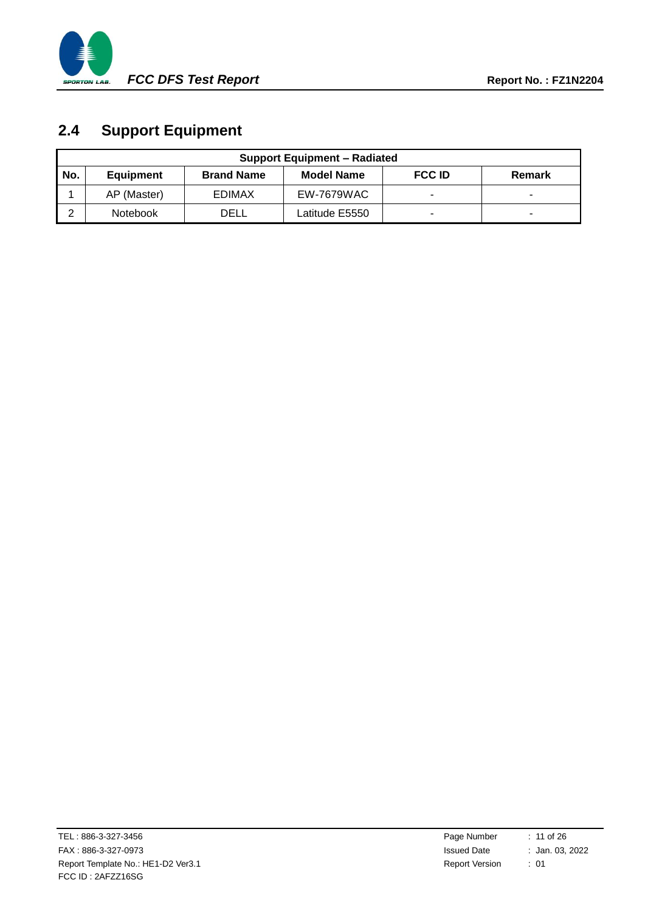

# <span id="page-10-0"></span>**2.4 Support Equipment**

|     | <b>Support Equipment – Radiated</b> |                   |                   |                          |        |
|-----|-------------------------------------|-------------------|-------------------|--------------------------|--------|
| No. | <b>Equipment</b>                    | <b>Brand Name</b> | <b>Model Name</b> | <b>FCC ID</b>            | Remark |
|     | AP (Master)                         | <b>EDIMAX</b>     | EW-7679WAC        | $\overline{\phantom{a}}$ |        |
| ົ   | <b>Notebook</b>                     | DELL              | Latitude E5550    | $\,$                     |        |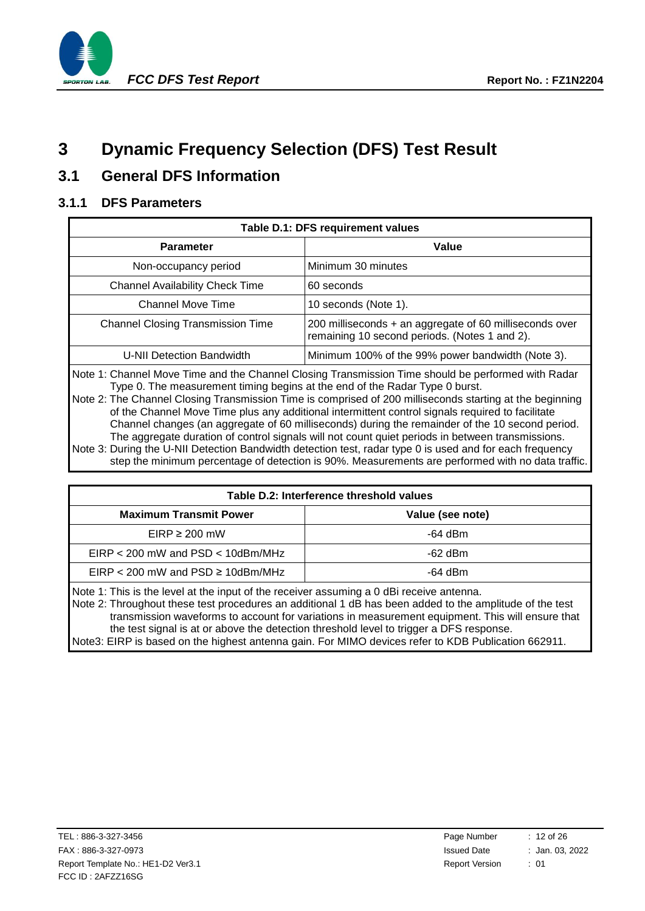

# <span id="page-11-0"></span>**3 Dynamic Frequency Selection (DFS) Test Result**

# <span id="page-11-1"></span>**3.1 General DFS Information**

#### **3.1.1 DFS Parameters**

| Table D.1: DFS requirement values                                                                                                                                                                                    |                                                                                                            |  |  |
|----------------------------------------------------------------------------------------------------------------------------------------------------------------------------------------------------------------------|------------------------------------------------------------------------------------------------------------|--|--|
| <b>Parameter</b>                                                                                                                                                                                                     | Value                                                                                                      |  |  |
| Non-occupancy period                                                                                                                                                                                                 | Minimum 30 minutes                                                                                         |  |  |
| <b>Channel Availability Check Time</b>                                                                                                                                                                               | 60 seconds                                                                                                 |  |  |
| <b>Channel Move Time</b>                                                                                                                                                                                             | 10 seconds (Note 1).                                                                                       |  |  |
| <b>Channel Closing Transmission Time</b>                                                                                                                                                                             | 200 milliseconds $+$ an aggregate of 60 milliseconds over<br>remaining 10 second periods. (Notes 1 and 2). |  |  |
| Minimum 100% of the 99% power bandwidth (Note 3).<br>U-NII Detection Bandwidth                                                                                                                                       |                                                                                                            |  |  |
| Note 1: Channel Move Time and the Channel Closing Transmission Time should be performed with Radar<br>A TIPS AND A REPORT OF A REPORT OF A REPORT OF A REPORT OF A REPORT OF A REPORT OF A REPORT OF A REPORT OF A R |                                                                                                            |  |  |

Type 0. The measurement timing begins at the end of the Radar Type 0 burst. Note 2: The Channel Closing Transmission Time is comprised of 200 milliseconds starting at the beginning

of the Channel Move Time plus any additional intermittent control signals required to facilitate Channel changes (an aggregate of 60 milliseconds) during the remainder of the 10 second period. The aggregate duration of control signals will not count quiet periods in between transmissions. Note 3: During the U-NII Detection Bandwidth detection test, radar type 0 is used and for each frequency step the minimum percentage of detection is 90%. Measurements are performed with no data traffic.

| Table D.2: Interference threshold values                                                                                  |                  |  |  |  |
|---------------------------------------------------------------------------------------------------------------------------|------------------|--|--|--|
| <b>Maximum Transmit Power</b>                                                                                             | Value (see note) |  |  |  |
| $EIRP \geq 200$ mW                                                                                                        | $-64$ dBm        |  |  |  |
| $EIRP < 200$ mW and $PSD < 10$ dBm/MHz                                                                                    | $-62$ dBm        |  |  |  |
| $EIRP < 200$ mW and PSD $\geq 10$ dBm/MHz<br>$-64$ dBm                                                                    |                  |  |  |  |
| $\Delta$ and $\Delta$ . This is the level of the input of the resolution convenience $\Delta$ dD; resolution of the space |                  |  |  |  |

Note 1: This is the level at the input of the receiver assuming a 0 dBi receive antenna. Note 2: Throughout these test procedures an additional 1 dB has been added to the amplitude of the test transmission waveforms to account for variations in measurement equipment. This will ensure that the test signal is at or above the detection threshold level to trigger a DFS response. Note3: EIRP is based on the highest antenna gain. For MIMO devices refer to KDB Publication 662911.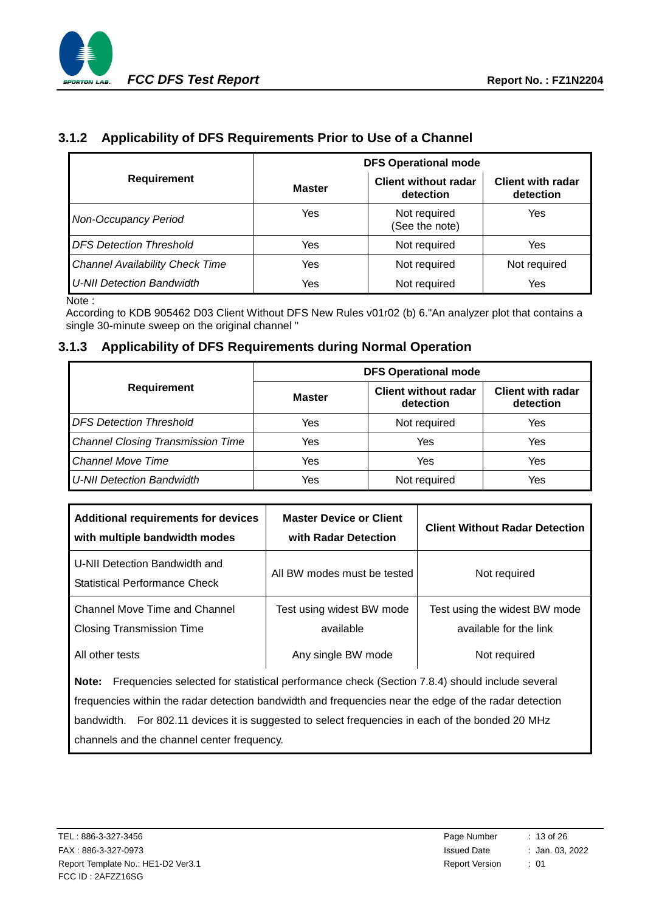

### **3.1.2 Applicability of DFS Requirements Prior to Use of a Channel**

|                                        | <b>DFS Operational mode</b> |                                          |                                       |  |  |
|----------------------------------------|-----------------------------|------------------------------------------|---------------------------------------|--|--|
| <b>Requirement</b>                     | <b>Master</b>               | <b>Client without radar</b><br>detection | <b>Client with radar</b><br>detection |  |  |
| <b>Non-Occupancy Period</b>            | Yes                         | Not required<br>(See the note)           | Yes                                   |  |  |
| <b>DFS Detection Threshold</b>         | Yes                         | Not required                             | Yes                                   |  |  |
| <b>Channel Availability Check Time</b> | Yes                         | Not required                             | Not required                          |  |  |
| U-NII Detection Bandwidth              | Yes                         | Not required                             | Yes                                   |  |  |

Note :

According to KDB 905462 D03 Client Without DFS New Rules v01r02 (b) 6."An analyzer plot that contains a single 30-minute sweep on the original channel "

#### **3.1.3 Applicability of DFS Requirements during Normal Operation**

|                                          | <b>DFS Operational mode</b> |                                          |                                       |  |  |
|------------------------------------------|-----------------------------|------------------------------------------|---------------------------------------|--|--|
| Requirement                              | <b>Master</b>               | <b>Client without radar</b><br>detection | <b>Client with radar</b><br>detection |  |  |
| <b>DFS Detection Threshold</b>           | Yes                         | Not required                             | Yes                                   |  |  |
| <b>Channel Closing Transmission Time</b> | Yes                         | Yes                                      | Yes                                   |  |  |
| <b>Channel Move Time</b>                 | Yes                         | Yes                                      | Yes                                   |  |  |
| <b>U-NII Detection Bandwidth</b>         | Yes                         | Not required                             | Yes                                   |  |  |

| <b>Additional requirements for devices</b><br>with multiple bandwidth modes | <b>Master Device or Client</b><br>with Radar Detection | <b>Client Without Radar Detection</b>                   |  |
|-----------------------------------------------------------------------------|--------------------------------------------------------|---------------------------------------------------------|--|
| U-NII Detection Bandwidth and<br>Statistical Performance Check              | All BW modes must be tested                            | Not required                                            |  |
| Channel Move Time and Channel<br><b>Closing Transmission Time</b>           | Test using widest BW mode<br>available                 | Test using the widest BW mode<br>available for the link |  |
| All other tests                                                             | Any single BW mode                                     | Not required                                            |  |

**Note:** Frequencies selected for statistical performance check (Section 7.8.4) should include several frequencies within the radar detection bandwidth and frequencies near the edge of the radar detection bandwidth. For 802.11 devices it is suggested to select frequencies in each of the bonded 20 MHz channels and the channel center frequency.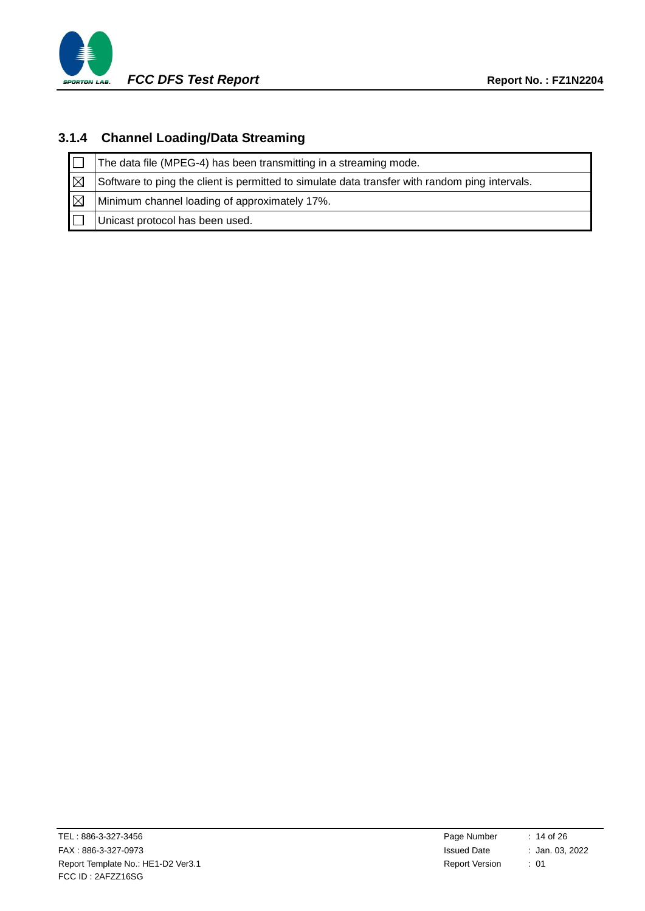

### **3.1.4 Channel Loading/Data Streaming**

|             | The data file (MPEG-4) has been transmitting in a streaming mode.                              |
|-------------|------------------------------------------------------------------------------------------------|
| ΙM          | Software to ping the client is permitted to simulate data transfer with random ping intervals. |
| $\boxtimes$ | Minimum channel loading of approximately 17%.                                                  |
|             | Unicast protocol has been used.                                                                |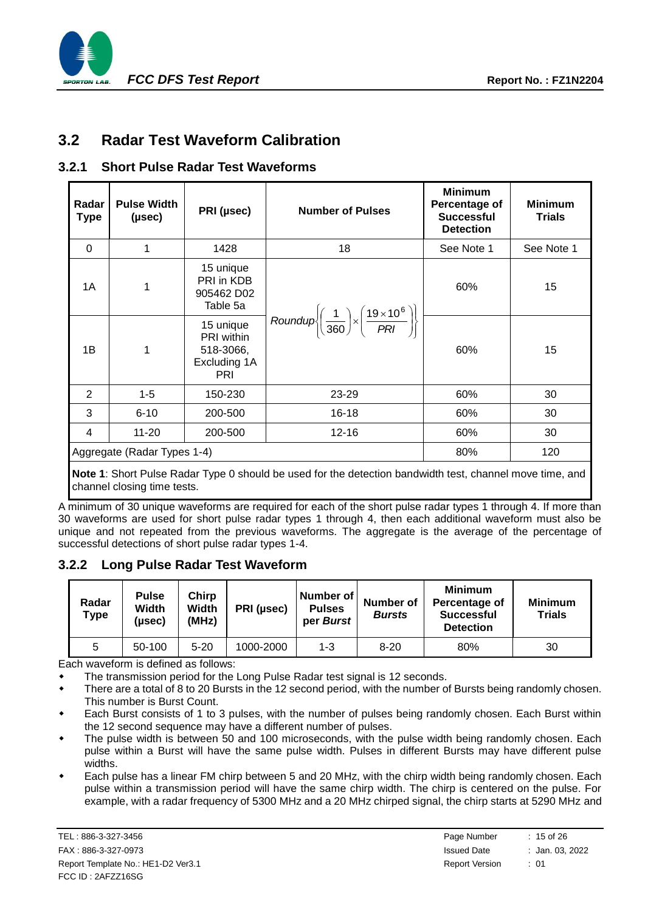

### <span id="page-14-0"></span>**3.2 Radar Test Waveform Calibration**

#### **3.2.1 Short Pulse Radar Test Waveforms**

| Radar<br><b>Type</b> | <b>Pulse Width</b><br>(µsec) | PRI (µsec)                                                                | <b>Number of Pulses</b>                                                                            | <b>Minimum</b><br>Percentage of<br><b>Successful</b><br><b>Detection</b> | <b>Minimum</b><br><b>Trials</b> |
|----------------------|------------------------------|---------------------------------------------------------------------------|----------------------------------------------------------------------------------------------------|--------------------------------------------------------------------------|---------------------------------|
| $\Omega$             | 1                            | 1428                                                                      | 18                                                                                                 | See Note 1                                                               | See Note 1                      |
| 1A                   | 1                            | 15 unique<br>PRI in KDB<br>905462 D02<br>Table 5a                         |                                                                                                    | 60%                                                                      | 15                              |
| 1B                   | 1                            | 15 unique<br><b>PRI</b> within<br>518-3066,<br>Excluding 1A<br><b>PRI</b> | Roundup $\left\{\left(\frac{1}{360}\right) \times \left(\frac{19 \times 10^6}{PRI}\right)\right\}$ | 60%                                                                      | 15                              |
| 2                    | $1 - 5$                      | 150-230                                                                   | 23-29                                                                                              | 60%                                                                      | 30                              |
| 3                    | $6 - 10$                     | 200-500                                                                   | $16 - 18$                                                                                          | 60%                                                                      | 30                              |
| 4                    | $11 - 20$                    | 200-500<br>$12 - 16$                                                      |                                                                                                    |                                                                          | 30                              |
|                      | Aggregate (Radar Types 1-4)  | 80%                                                                       | 120                                                                                                |                                                                          |                                 |

**Note 1**: Short Pulse Radar Type 0 should be used for the detection bandwidth test, channel move time, and channel closing time tests.

A minimum of 30 unique waveforms are required for each of the short pulse radar types 1 through 4. If more than 30 waveforms are used for short pulse radar types 1 through 4, then each additional waveform must also be unique and not repeated from the previous waveforms. The aggregate is the average of the percentage of successful detections of short pulse radar types 1-4.

#### **3.2.2 Long Pulse Radar Test Waveform**

| Radar<br>Type | <b>Pulse</b><br>Width<br>(µsec) | <b>Chirp</b><br>Width<br>(MHz) | PRI (µsec) | Number of<br><b>Pulses</b><br>per Burst | <b>Number of</b><br><b>Bursts</b> | <b>Minimum</b><br>Percentage of<br><b>Successful</b><br><b>Detection</b> | <b>Minimum</b><br><b>Trials</b> |
|---------------|---------------------------------|--------------------------------|------------|-----------------------------------------|-----------------------------------|--------------------------------------------------------------------------|---------------------------------|
| b             | 50-100                          | 5-20                           | 1000-2000  | 1-3                                     | $8 - 20$                          | 80%                                                                      | 30                              |

Each waveform is defined as follows:

The transmission period for the Long Pulse Radar test signal is 12 seconds.

 There are a total of 8 to 20 Bursts in the 12 second period, with the number of Bursts being randomly chosen. This number is Burst Count.

 Each Burst consists of 1 to 3 pulses, with the number of pulses being randomly chosen. Each Burst within the 12 second sequence may have a different number of pulses.

- The pulse width is between 50 and 100 microseconds, with the pulse width being randomly chosen. Each pulse within a Burst will have the same pulse width. Pulses in different Bursts may have different pulse widths.
- Each pulse has a linear FM chirp between 5 and 20 MHz, with the chirp width being randomly chosen. Each pulse within a transmission period will have the same chirp width. The chirp is centered on the pulse. For example, with a radar frequency of 5300 MHz and a 20 MHz chirped signal, the chirp starts at 5290 MHz and

TEL: 886-3-327-3456 FAX: 886-3-327-0973 Report Template No.: HE1-D2 Ver3.1 FCC ID : 2AFZZ16SG

| Page Number           | $: 15$ of 26    |
|-----------------------|-----------------|
| <b>Issued Date</b>    | : Jan. 03, 2022 |
| <b>Report Version</b> | : 01            |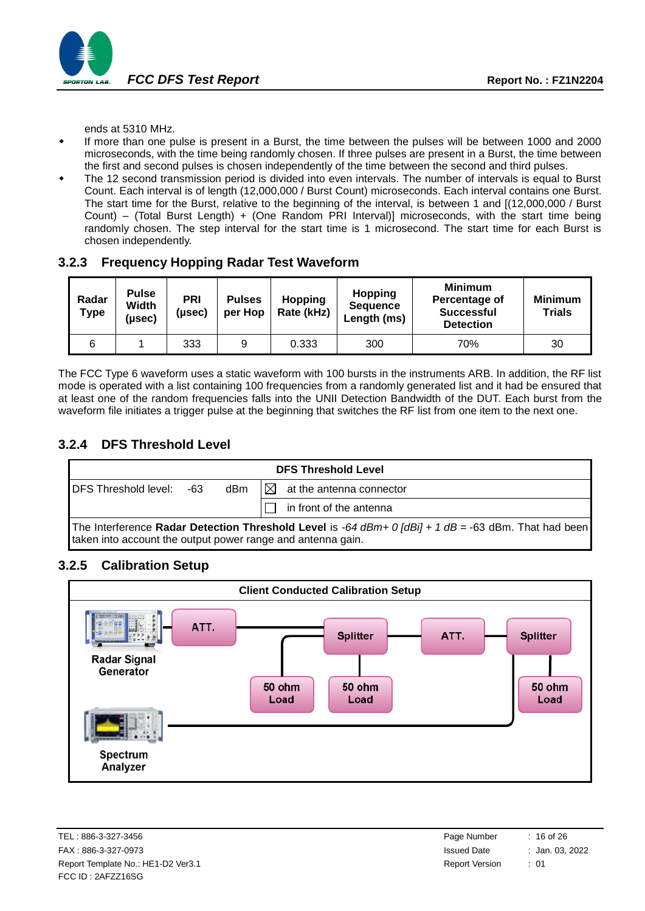

ends at 5310 MHz.

- If more than one pulse is present in a Burst, the time between the pulses will be between 1000 and 2000 microseconds, with the time being randomly chosen. If three pulses are present in a Burst, the time between the first and second pulses is chosen independently of the time between the second and third pulses.
- The 12 second transmission period is divided into even intervals. The number of intervals is equal to Burst Count. Each interval is of length (12,000,000 / Burst Count) microseconds. Each interval contains one Burst. The start time for the Burst, relative to the beginning of the interval, is between 1 and [(12,000,000 / Burst Count) – (Total Burst Length) + (One Random PRI Interval)] microseconds, with the start time being randomly chosen. The step interval for the start time is 1 microsecond. The start time for each Burst is chosen independently.

**3.2.3 Frequency Hopping Radar Test Waveform**

| Radar<br>Type | <b>Pulse</b><br>Width<br>(µsec) | PRI<br>(µsec) | <b>Pulses</b><br>per Hop | <b>Hopping</b><br>Rate (kHz) | <b>Hopping</b><br><b>Sequence</b><br>Length (ms) | <b>Minimum</b><br>Percentage of<br><b>Successful</b><br><b>Detection</b> | <b>Minimum</b><br><b>Trials</b> |
|---------------|---------------------------------|---------------|--------------------------|------------------------------|--------------------------------------------------|--------------------------------------------------------------------------|---------------------------------|
| 6             |                                 | 333           | 9                        | 0.333                        | 300                                              | 70%                                                                      | 30                              |

The FCC Type 6 waveform uses a static waveform with 100 bursts in the instruments ARB. In addition, the RF list mode is operated with a list containing 100 frequencies from a randomly generated list and it had be ensured that at least one of the random frequencies falls into the UNII Detection Bandwidth of the DUT. Each burst from the waveform file initiates a trigger pulse at the beginning that switches the RF list from one item to the next one.

### **3.2.4 DFS Threshold Level**



#### **3.2.5 Calibration Setup**



| Page Number           | $: 16$ of 26    |
|-----------------------|-----------------|
| <b>Issued Date</b>    | : Jan. 03, 2022 |
| <b>Report Version</b> | : 01            |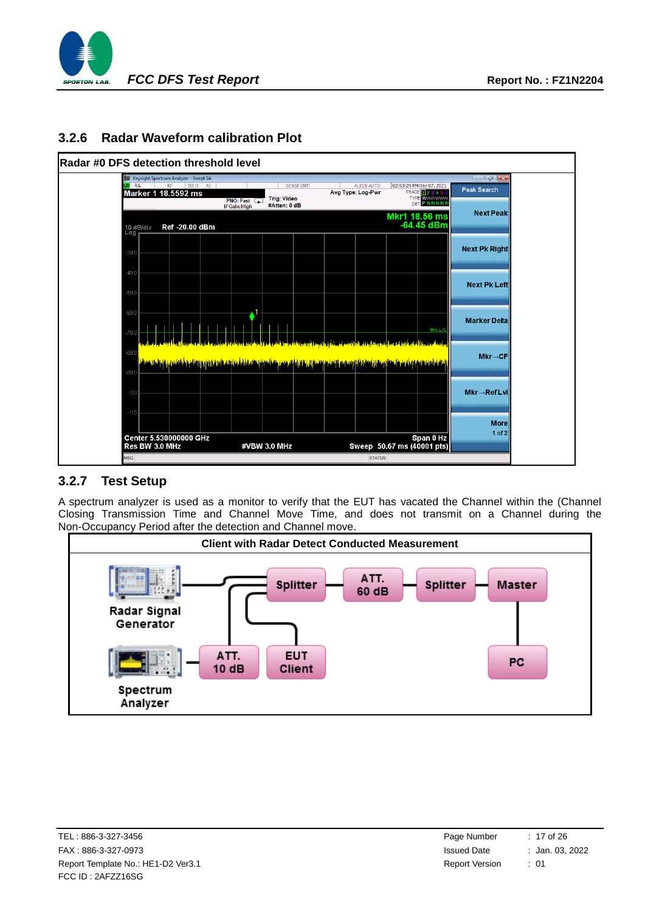

#### **3.2.6 Radar Waveform calibration Plot**



#### **3.2.7 Test Setup**

A spectrum analyzer is used as a monitor to verify that the EUT has vacated the Channel within the (Channel Closing Transmission Time and Channel Move Time, and does not transmit on a Channel during the Non-Occupancy Period after the detection and Channel move.



| Page Number           | $: 17$ of 26    |
|-----------------------|-----------------|
| <b>Issued Date</b>    | : Jan. 03, 2022 |
| <b>Report Version</b> | : 01            |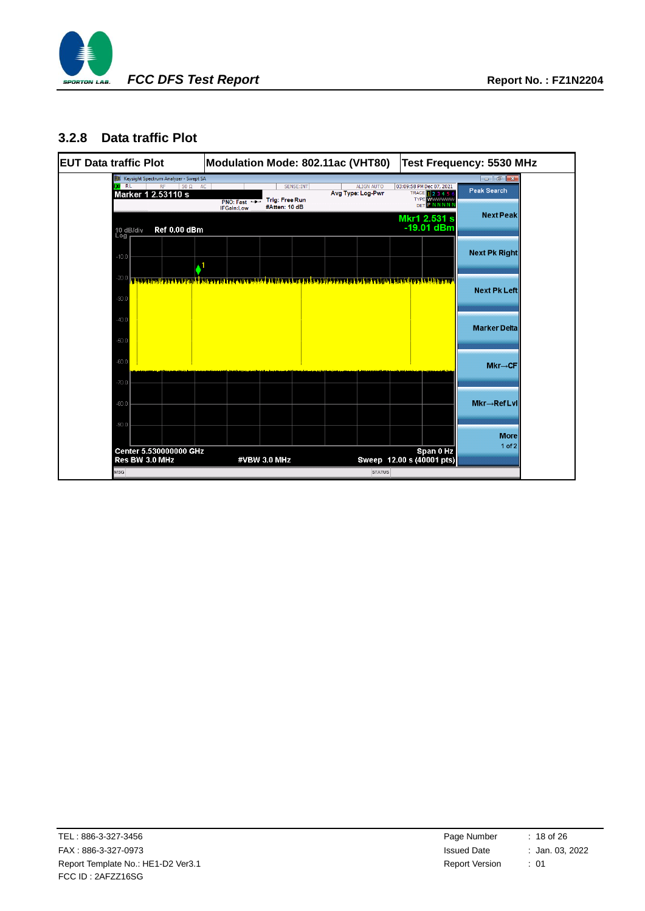

#### **3.2.8 Data traffic Plot**

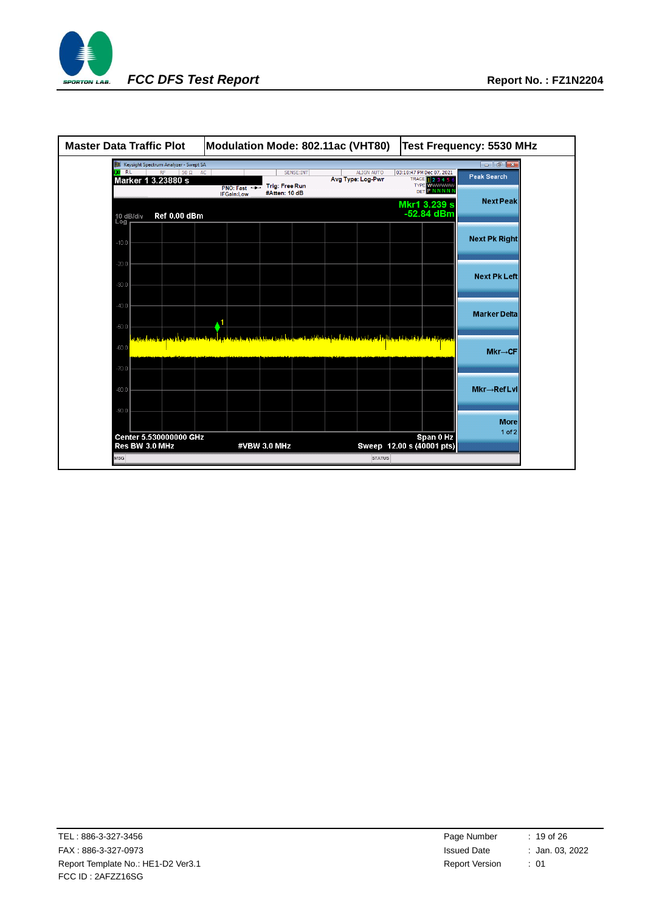

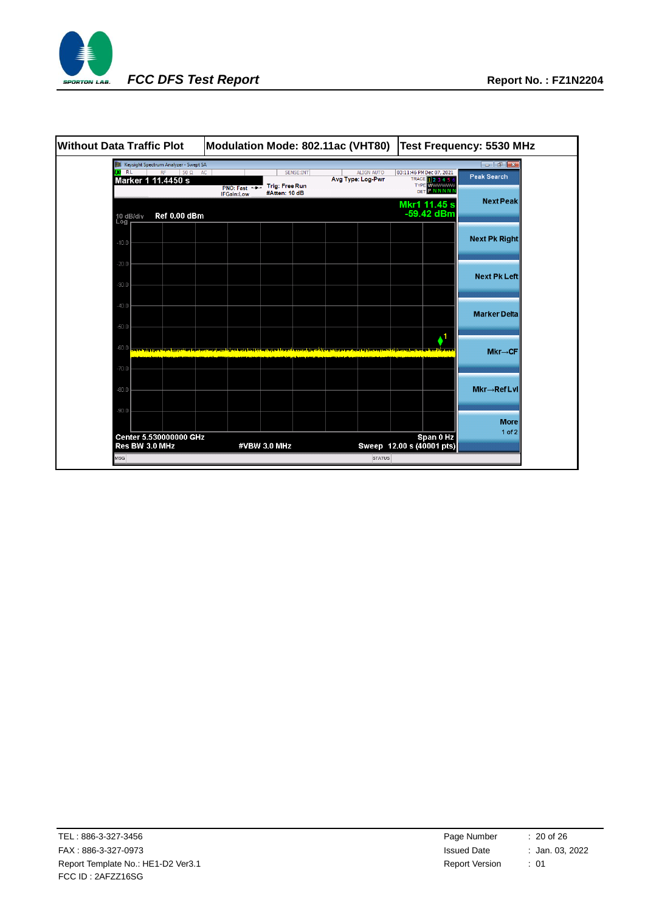

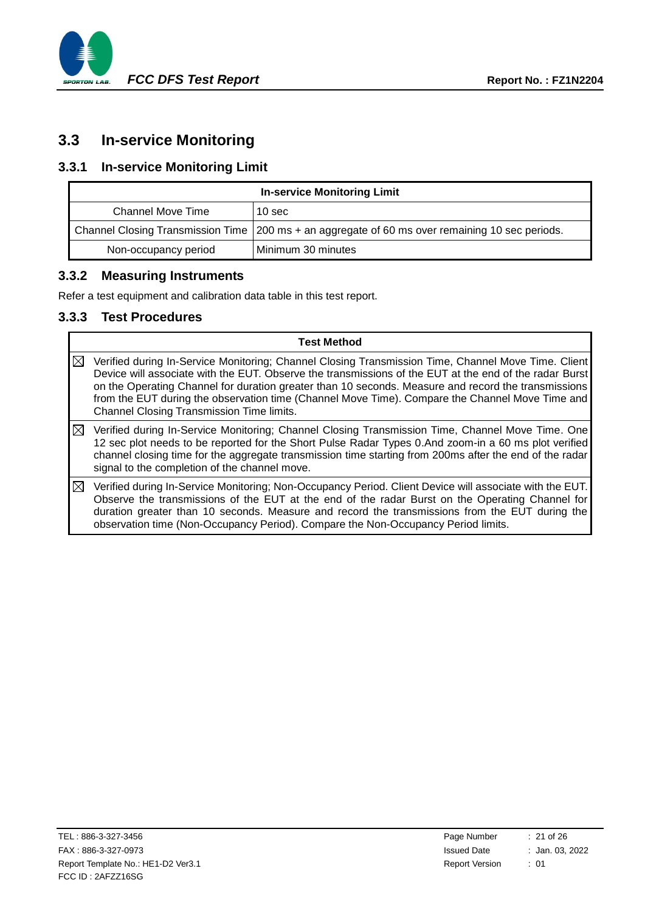

# <span id="page-20-0"></span>**3.3 In-service Monitoring**

### **3.3.1 In-service Monitoring Limit**

| <b>In-service Monitoring Limit</b> |                                                                                                   |  |  |
|------------------------------------|---------------------------------------------------------------------------------------------------|--|--|
| Channel Move Time                  | 10 <sub>sec</sub>                                                                                 |  |  |
|                                    | Channel Closing Transmission Time   200 ms + an aggregate of 60 ms over remaining 10 sec periods. |  |  |
| Non-occupancy period               | Minimum 30 minutes                                                                                |  |  |

#### **3.3.2 Measuring Instruments**

Refer a test equipment and calibration data table in this test report.

#### **3.3.3 Test Procedures**

|             | <b>Test Method</b>                                                                                                                                                                                                                                                                                                                                                                                                                                                   |
|-------------|----------------------------------------------------------------------------------------------------------------------------------------------------------------------------------------------------------------------------------------------------------------------------------------------------------------------------------------------------------------------------------------------------------------------------------------------------------------------|
| $\boxtimes$ | Verified during In-Service Monitoring; Channel Closing Transmission Time, Channel Move Time. Client<br>Device will associate with the EUT. Observe the transmissions of the EUT at the end of the radar Burst<br>on the Operating Channel for duration greater than 10 seconds. Measure and record the transmissions<br>from the EUT during the observation time (Channel Move Time). Compare the Channel Move Time and<br>Channel Closing Transmission Time limits. |
| ⊠           | Verified during In-Service Monitoring; Channel Closing Transmission Time, Channel Move Time. One<br>12 sec plot needs to be reported for the Short Pulse Radar Types 0.And zoom-in a 60 ms plot verified<br>channel closing time for the aggregate transmission time starting from 200ms after the end of the radar<br>signal to the completion of the channel move.                                                                                                 |
| ⊠           | Verified during In-Service Monitoring; Non-Occupancy Period. Client Device will associate with the EUT.<br>Observe the transmissions of the EUT at the end of the radar Burst on the Operating Channel for<br>duration greater than 10 seconds. Measure and record the transmissions from the EUT during the<br>observation time (Non-Occupancy Period). Compare the Non-Occupancy Period limits.                                                                    |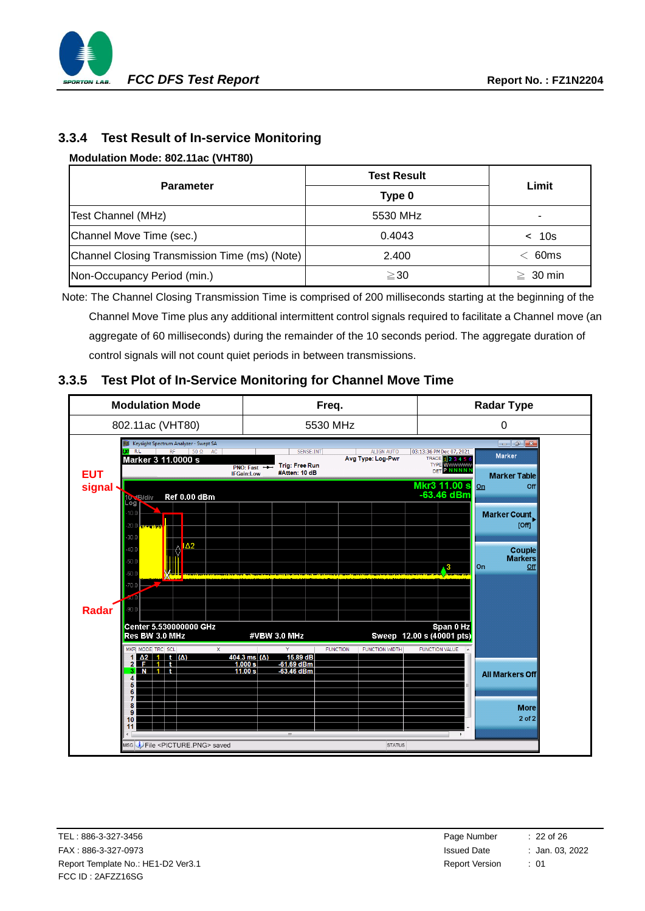

### **3.3.4 Test Result of In-service Monitoring**

#### **Modulation Mode: [802.11ac \(VHT80\)](#page-9-4)**

|                                               | <b>Test Result</b> | Limit            |  |
|-----------------------------------------------|--------------------|------------------|--|
| <b>Parameter</b>                              | Type 0             |                  |  |
| Test Channel (MHz)                            | 5530 MHz           | ۰                |  |
| Channel Move Time (sec.)                      | 0.4043             | < 10s            |  |
| Channel Closing Transmission Time (ms) (Note) | 2.400              | 60 <sub>ms</sub> |  |
| Non-Occupancy Period (min.)                   | $\geq$ 30          | $\geq 30$ min    |  |

Note: The Channel Closing Transmission Time is comprised of 200 milliseconds starting at the beginning of the Channel Move Time plus any additional intermittent control signals required to facilitate a Channel move (an aggregate of 60 milliseconds) during the remainder of the 10 seconds period. The aggregate duration of control signals will not count quiet periods in between transmissions.

#### **3.3.5 Test Plot of In-Service Monitoring for Channel Move Time**

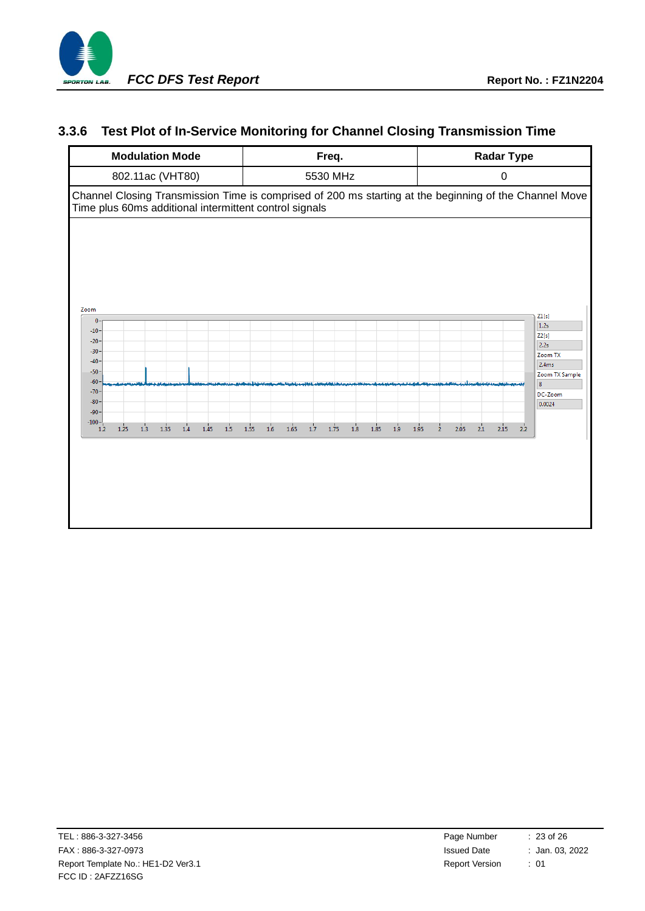

### **3.3.6 Test Plot of In-Service Monitoring for Channel Closing Transmission Time**

| <b>Modulation Mode</b>                                                | Freq.                                                        | <b>Radar Type</b>                                                                                      |  |
|-----------------------------------------------------------------------|--------------------------------------------------------------|--------------------------------------------------------------------------------------------------------|--|
| 802.11ac (VHT80)                                                      | 5530 MHz                                                     | $\pmb{0}$                                                                                              |  |
| Time plus 60ms additional intermittent control signals                |                                                              | Channel Closing Transmission Time is comprised of 200 ms starting at the beginning of the Channel Move |  |
| Zoom<br>$\mathbf{0}$                                                  |                                                              | Z1[s]<br>1.2s                                                                                          |  |
| $-10$<br>$-20$<br>$-30$                                               |                                                              | Z2[s]<br>2.2s<br>Zoom TX                                                                               |  |
| $-40 -$<br>$-50$                                                      |                                                              | 2.4ms<br>Zoom TX Sample                                                                                |  |
| $-60$<br>$-70$<br>$-80$                                               |                                                              | 8<br>DC-Zoom<br>0.0024                                                                                 |  |
| $-90$<br>$-100 -$<br>1.2<br>1.25<br>1.3<br>1.35<br>1.4<br>1.45<br>1.5 | $1.6\,$<br>1.7<br>1.8<br>1.9<br>1.55<br>1.65<br>1.75<br>1.85 | 1.95<br>2.05<br>2.1<br>2.15<br>2.2<br>$\overline{2}$                                                   |  |
|                                                                       |                                                              |                                                                                                        |  |
|                                                                       |                                                              |                                                                                                        |  |
|                                                                       |                                                              |                                                                                                        |  |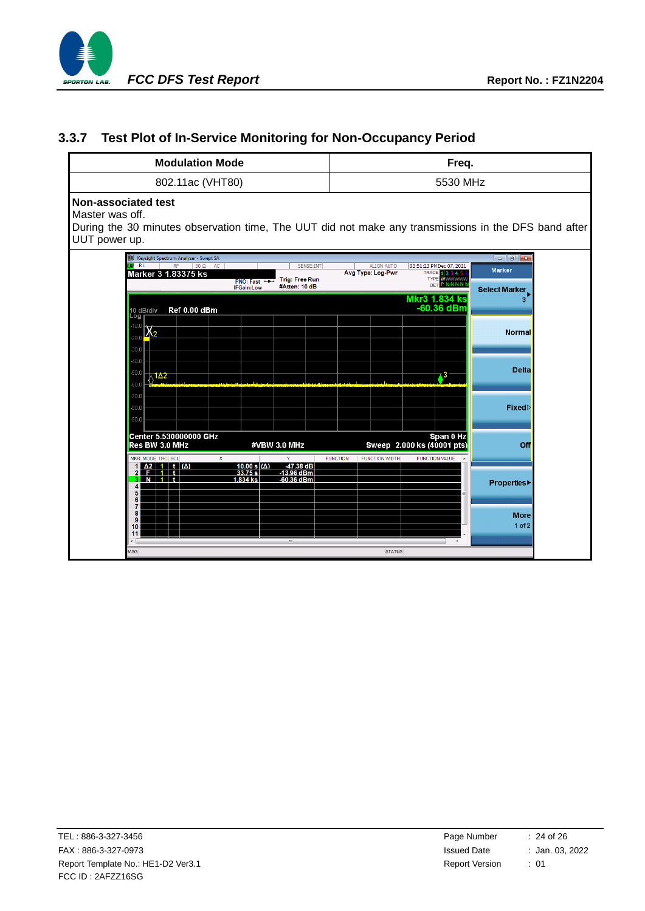

### **3.3.7 Test Plot of In-Service Monitoring for Non-Occupancy Period**

| <b>Modulation Mode</b>                                                                                                                                                                                    | Freq.                                                                                                                                                                                |  |  |  |
|-----------------------------------------------------------------------------------------------------------------------------------------------------------------------------------------------------------|--------------------------------------------------------------------------------------------------------------------------------------------------------------------------------------|--|--|--|
| 802.11ac (VHT80)                                                                                                                                                                                          | 5530 MHz                                                                                                                                                                             |  |  |  |
| Non-associated test<br>Master was off.<br>UUT power up.                                                                                                                                                   | During the 30 minutes observation time, The UUT did not make any transmissions in the DFS band after                                                                                 |  |  |  |
| Keysight Spectrum Analyzer - Swept SA<br>$\overline{u}$ RL<br>RF<br>$50 \Omega$ AC<br>SENSE:INT<br>Marker 3 1.83375 ks<br><b>Trig: Free Run</b><br><b>PNO: Fast</b><br>#Atten: 10 dB<br><b>IFGain:Low</b> | $\Box$ $\Box$<br><b>ALIGN AUTO</b><br>03:51:23 PM Dec 07, 2021<br><b>Marker</b><br>Avg Type: Log-Pwr<br>TRACE 1 2 3 4 5 6<br><b>TYPE WWWWW</b><br><b>DET PNNNNN</b><br>Select Marker |  |  |  |
| Ref 0.00 dBm<br>10 dB/div<br>∟og<br>10.0<br>$\chi_{2}$<br>20.0                                                                                                                                            | <b>Mkr3 1.834 ks</b><br>3 <sup>2</sup><br>-60.36 dBm<br><b>Normal</b>                                                                                                                |  |  |  |
| 30.0<br>40.0<br>$-50.0$<br>$\lambda$ 1 $\Delta$ 2<br>$-60.0$                                                                                                                                              | <b>Delta</b>                                                                                                                                                                         |  |  |  |
| $-70.0$<br>$-80.0$<br>$-90.0$                                                                                                                                                                             | Fixed⊳                                                                                                                                                                               |  |  |  |
| Center 5.530000000 GHz<br>Res BW 3.0 MHz<br>#VBW 3.0 MHz<br>MKR MODE TRC SCL<br>X                                                                                                                         | Span 0 Hz<br>Sweep 2.000 ks (40001 pts)<br>Off<br><b>FUNCTION VALUE</b><br><b>FUNCTION</b><br><b>FUNCTION WIDTH</b>                                                                  |  |  |  |
| $1 \Delta 2$ 1 t $(\Delta)$<br>$10.00 s(\Delta)$<br>$-47.38$ dB<br>33.75 s<br>$-13.96$ dBm<br>2 <sub>1</sub><br>$-60.36$ dBm<br>3 N 11<br>1.834 ks<br>5<br>6                                              | <b>Properties</b>                                                                                                                                                                    |  |  |  |
| 7<br>8<br>9<br>10<br>11<br>Ш                                                                                                                                                                              | <b>More</b><br>$1$ of $2$                                                                                                                                                            |  |  |  |
| <b>MSG</b>                                                                                                                                                                                                | <b>STATUS</b>                                                                                                                                                                        |  |  |  |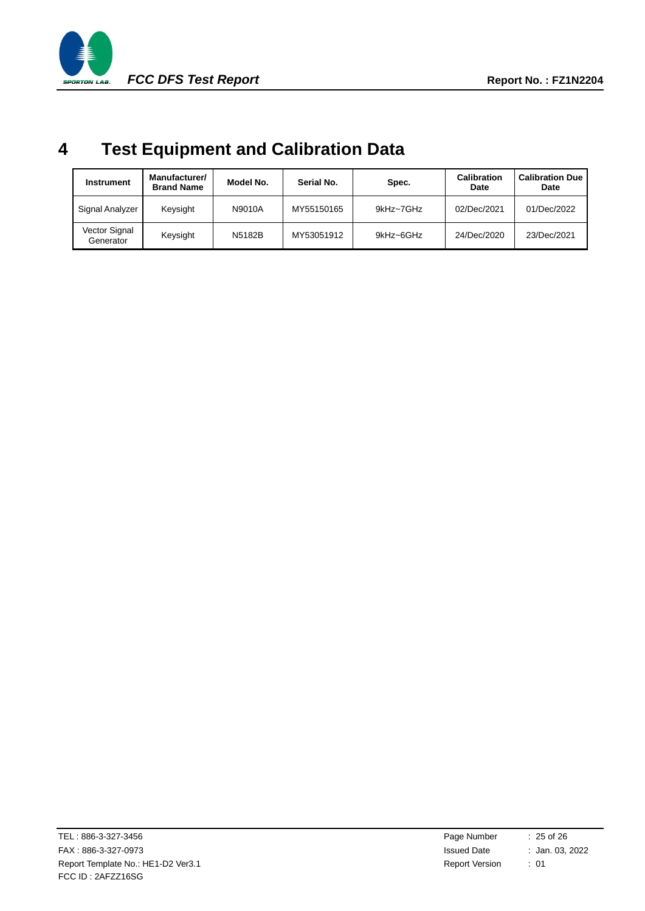

# <span id="page-24-0"></span>**4 Test Equipment and Calibration Data**

| <b>Instrument</b>          | Manufacturer/<br><b>Brand Name</b> | Model No. | Serial No. | Spec.     | <b>Calibration</b><br>Date | <b>Calibration Due</b><br>Date |
|----------------------------|------------------------------------|-----------|------------|-----------|----------------------------|--------------------------------|
| Signal Analyzer            | Keysight                           | N9010A    | MY55150165 | 9kHz~7GHz | 02/Dec/2021                | 01/Dec/2022                    |
| Vector Signal<br>Generator | Keysight                           | N5182B    | MY53051912 | 9kHz~6GHz | 24/Dec/2020                | 23/Dec/2021                    |